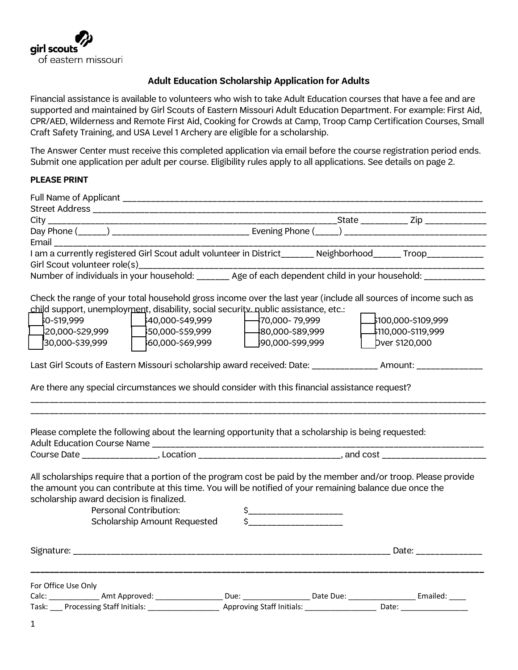

### **Adult Education Scholarship Application for Adults**

Financial assistance is available to volunteers who wish to take Adult Education courses that have a fee and are supported and maintained by Girl Scouts of Eastern Missouri Adult Education Department. For example: First Aid, CPR/AED, Wilderness and Remote First Aid, Cooking for Crowds at Camp, Troop Camp Certification Courses, Small Craft Safety Training, and USA Level 1 Archery are eligible for a scholarship.

The Answer Center must receive this completed application via email before the course registration period ends. Submit one application per adult per course. Eligibility rules apply to all applications. See details on page 2.

#### **PLEASE PRINT**

| I am a currently registered Girl Scout adult volunteer in District______ Neighborhood_____ Troop___________                                                                                                                                                                                                                     |                                                                                               |                                                             |
|---------------------------------------------------------------------------------------------------------------------------------------------------------------------------------------------------------------------------------------------------------------------------------------------------------------------------------|-----------------------------------------------------------------------------------------------|-------------------------------------------------------------|
|                                                                                                                                                                                                                                                                                                                                 |                                                                                               |                                                             |
|                                                                                                                                                                                                                                                                                                                                 |                                                                                               |                                                             |
| Check the range of your total household gross income over the last year (include all sources of income such as<br>child support, unemployment, disability, social security nublic assistance, etc.:<br>0-\$19,999<br>20,000-\$29,999<br>50,000-\$59,999<br>30,000-\$39,999<br>60,000-\$69,999                                   | $40,000 - $49,999$ $-70,000 - 79,999$<br>$180,000 - $89,999$<br>$\sim$ 1.0<br>90,000-\$99,999 | ♪100,000-\$109,999<br>4110,000-\$119,999.<br>bver \$120,000 |
| Last Girl Scouts of Eastern Missouri scholarship award received: Date: ______________ Amount: ______________                                                                                                                                                                                                                    |                                                                                               |                                                             |
| Please complete the following about the learning opportunity that a scholarship is being requested:                                                                                                                                                                                                                             |                                                                                               |                                                             |
|                                                                                                                                                                                                                                                                                                                                 |                                                                                               |                                                             |
| All scholarships require that a portion of the program cost be paid by the member and/or troop. Please provide<br>the amount you can contribute at this time. You will be notified of your remaining balance due once the<br>scholarship award decision is finalized.<br>Personal Contribution:<br>Scholarship Amount Requested | $\sim$                                                                                        |                                                             |
|                                                                                                                                                                                                                                                                                                                                 |                                                                                               | Date:                                                       |
| For Office Use Only                                                                                                                                                                                                                                                                                                             |                                                                                               |                                                             |
| Calc: ________________ Amt Approved: ____________________ Due: __________________ Date Due: _______________________ Emailed: _____                                                                                                                                                                                              |                                                                                               |                                                             |
| Task: Processing Staff Initials: 1992 - 2008 Approving Staff Initials: 2008 - 2010: 2010: 2010: 2010                                                                                                                                                                                                                            |                                                                                               |                                                             |